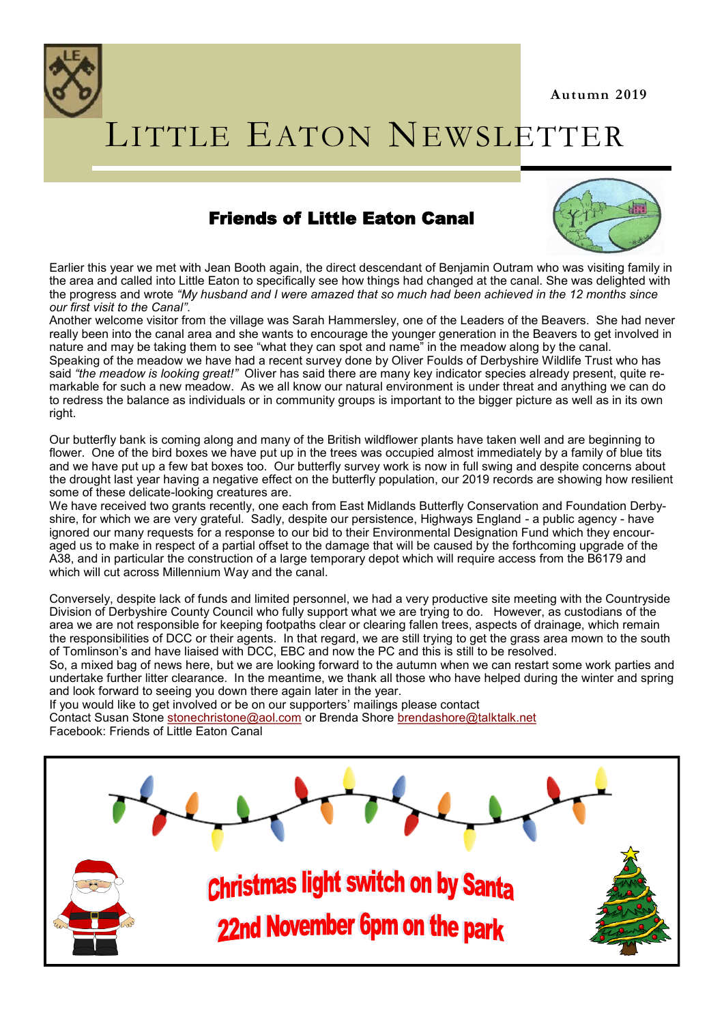

# LITTLE EATON NEWSLETTER

# Friends of Little Eaton Canal



Earlier this year we met with Jean Booth again, the direct descendant of Benjamin Outram who was visiting family in the area and called into Little Eaton to specifically see how things had changed at the canal. She was delighted with the progress and wrote *"My husband and I were amazed that so much had been achieved in the 12 months since our first visit to the Canal"*.

Another welcome visitor from the village was Sarah Hammersley, one of the Leaders of the Beavers. She had never really been into the canal area and she wants to encourage the younger generation in the Beavers to get involved in nature and may be taking them to see "what they can spot and name" in the meadow along by the canal. Speaking of the meadow we have had a recent survey done by Oliver Foulds of Derbyshire Wildlife Trust who has said *"the meadow is looking great!"* Oliver has said there are many key indicator species already present, quite remarkable for such a new meadow. As we all know our natural environment is under threat and anything we can do to redress the balance as individuals or in community groups is important to the bigger picture as well as in its own right.

Our butterfly bank is coming along and many of the British wildflower plants have taken well and are beginning to flower. One of the bird boxes we have put up in the trees was occupied almost immediately by a family of blue tits and we have put up a few bat boxes too. Our butterfly survey work is now in full swing and despite concerns about the drought last year having a negative effect on the butterfly population, our 2019 records are showing how resilient some of these delicate-looking creatures are.

We have received two grants recently, one each from East Midlands Butterfly Conservation and Foundation Derbyshire, for which we are very grateful. Sadly, despite our persistence, Highways England - a public agency - have ignored our many requests for a response to our bid to their Environmental Designation Fund which they encouraged us to make in respect of a partial offset to the damage that will be caused by the forthcoming upgrade of the A38, and in particular the construction of a large temporary depot which will require access from the B6179 and which will cut across Millennium Way and the canal.

Conversely, despite lack of funds and limited personnel, we had a very productive site meeting with the Countryside Division of Derbyshire County Council who fully support what we are trying to do. However, as custodians of the area we are not responsible for keeping footpaths clear or clearing fallen trees, aspects of drainage, which remain the responsibilities of DCC or their agents. In that regard, we are still trying to get the grass area mown to the south of Tomlinson's and have liaised with DCC, EBC and now the PC and this is still to be resolved.

So, a mixed bag of news here, but we are looking forward to the autumn when we can restart some work parties and undertake further litter clearance. In the meantime, we thank all those who have helped during the winter and spring and look forward to seeing you down there again later in the year.

If you would like to get involved or be on our supporters' mailings please contact Contact Susan Stone [stonechristone@aol.com](mailto:stonechristone@aol.com) or Brenda Shore [brendashore@talktalk.net](mailto:brendashore@talktalk.net) Facebook: Friends of Little Eaton Canal

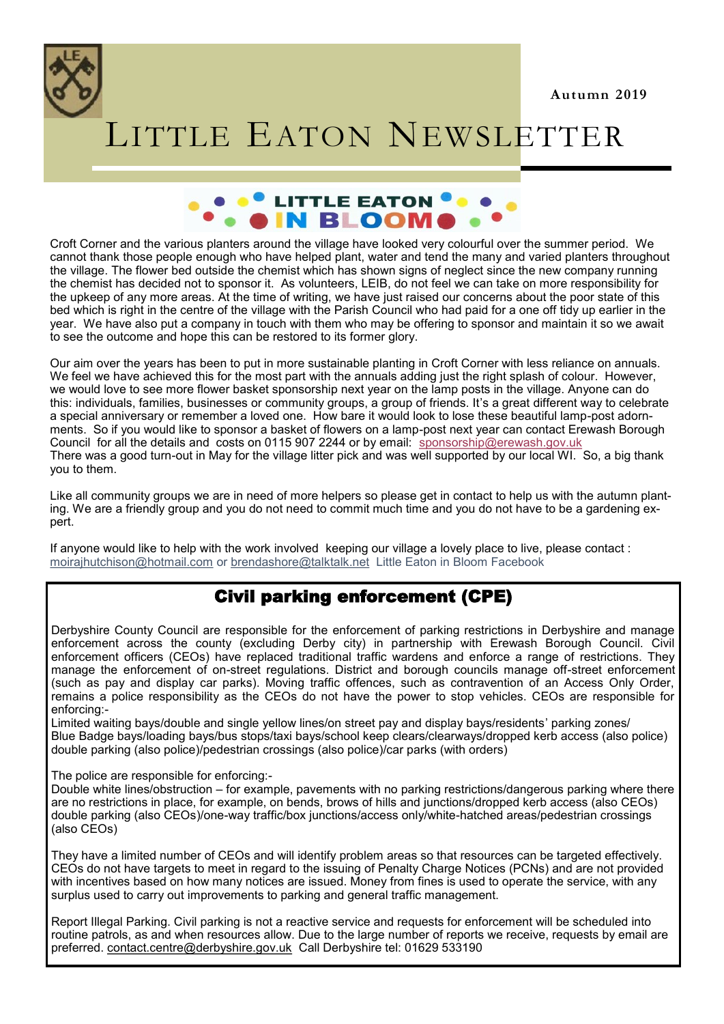

# LITTLE EATON NEWSLETTER



Croft Corner and the various planters around the village have looked very colourful over the summer period. We cannot thank those people enough who have helped plant, water and tend the many and varied planters throughout the village. The flower bed outside the chemist which has shown signs of neglect since the new company running the chemist has decided not to sponsor it. As volunteers, LEIB, do not feel we can take on more responsibility for the upkeep of any more areas. At the time of writing, we have just raised our concerns about the poor state of this bed which is right in the centre of the village with the Parish Council who had paid for a one off tidy up earlier in the year. We have also put a company in touch with them who may be offering to sponsor and maintain it so we await to see the outcome and hope this can be restored to its former glory.

Our aim over the years has been to put in more sustainable planting in Croft Corner with less reliance on annuals. We feel we have achieved this for the most part with the annuals adding just the right splash of colour. However, we would love to see more flower basket sponsorship next year on the lamp posts in the village. Anyone can do this: individuals, families, businesses or community groups, a group of friends. It's a great different way to celebrate a special anniversary or remember a loved one. How bare it would look to lose these beautiful lamp-post adornments. So if you would like to sponsor a basket of flowers on a lamp-post next year can contact Erewash Borough Council for all the details and costs on 0115 907 2244 or by email: [sponsorship@erewash.gov.uk](mailto:sponsorship@erewash.gov.uk) There was a good turn-out in May for the village litter pick and was well supported by our local WI. So, a big thank you to them.

Like all community groups we are in need of more helpers so please get in contact to help us with the autumn planting. We are a friendly group and you do not need to commit much time and you do not have to be a gardening expert.

If anyone would like to help with the work involved keeping our village a lovely place to live, please contact : [moirajhutchison@hotmail.com](mailto:moirajhutchison@hotmail.com) or [brendashore@talktalk.net](mailto:brendashore@talktalk.net) Little Eaton in Bloom Facebook

# Civil parking enforcement (CPE)

Derbyshire County Council are responsible for the enforcement of parking restrictions in Derbyshire and manage enforcement across the county (excluding Derby city) in partnership with Erewash Borough Council. Civil enforcement officers (CEOs) have replaced traditional traffic wardens and enforce a range of restrictions. They manage the enforcement of on-street regulations. District and borough councils manage off-street enforcement (such as pay and display car parks). Moving traffic offences, such as contravention of an Access Only Order, remains a police responsibility as the CEOs do not have the power to stop vehicles. CEOs are responsible for enforcing:-

Limited waiting bays/double and single yellow lines/on street pay and display bays/residents' parking zones/ Blue Badge bays/loading bays/bus stops/taxi bays/school keep clears/clearways/dropped kerb access (also police) double parking (also police)/pedestrian crossings (also police)/car parks (with orders)

The police are responsible for enforcing:-

Double white lines/obstruction – for example, pavements with no parking restrictions/dangerous parking where there are no restrictions in place, for example, on bends, brows of hills and junctions/dropped kerb access (also CEOs) double parking (also CEOs)/one-way traffic/box junctions/access only/white-hatched areas/pedestrian crossings (also CEOs)

They have a limited number of CEOs and will identify problem areas so that resources can be targeted effectively. CEOs do not have targets to meet in regard to the issuing of Penalty Charge Notices (PCNs) and are not provided with incentives based on how many notices are issued. Money from fines is used to operate the service, with any surplus used to carry out improvements to parking and general traffic management.

Report Illegal Parking. Civil parking is not a reactive service and requests for enforcement will be scheduled into routine patrols, as and when resources allow. Due to the large number of reports we receive, requests by email are preferred. [contact.centre@derbyshire.gov.uk](mailto:contact.centre@derbyshire.gov.uk) Call Derbyshire tel: 01629 533190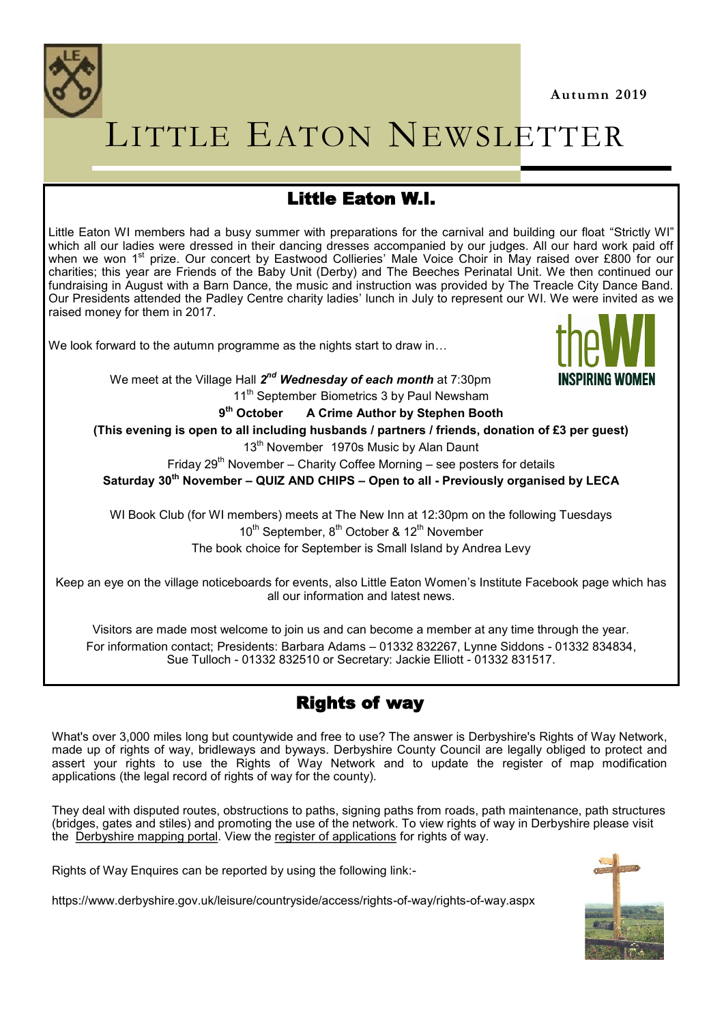

# LITTLE EATON NEWSLETTER

# Little Eaton W.I.

Little Eaton WI members had a busy summer with preparations for the carnival and building our float "Strictly WI" which all our ladies were dressed in their dancing dresses accompanied by our judges. All our hard work paid off when we won 1<sup>st</sup> prize. Our concert by Eastwood Collieries' Male Voice Choir in May raised over £800 for our charities; this year are Friends of the Baby Unit (Derby) and The Beeches Perinatal Unit. We then continued our fundraising in August with a Barn Dance, the music and instruction was provided by The Treacle City Dance Band. Our Presidents attended the Padley Centre charity ladies' lunch in July to represent our WI. We were invited as we raised money for them in 2017.

We look forward to the autumn programme as the nights start to draw in...



We meet at the Village Hall  $\boldsymbol{2}^{nd}$  *Wednesday of each month* at 7:30pm 11<sup>th</sup> September Biometrics 3 by Paul Newsham

> 9<sup>th</sup> October **th October A Crime Author by Stephen Booth**

**(This evening is open to all including husbands / partners / friends, donation of £3 per guest)**

13<sup>th</sup> November 1970s Music by Alan Daunt

Friday  $29<sup>th</sup>$  November – Charity Coffee Morning – see posters for details

**Saturday 30th November – QUIZ AND CHIPS – Open to all - Previously organised by LECA**

WI Book Club (for WI members) meets at The New Inn at 12:30pm on the following Tuesdays 10<sup>th</sup> September, 8<sup>th</sup> October & 12<sup>th</sup> November The book choice for September is Small Island by Andrea Levy

Keep an eye on the village noticeboards for events, also Little Eaton Women's Institute Facebook page which has all our information and latest news.

Visitors are made most welcome to join us and can become a member at any time through the year. For information contact; Presidents: Barbara Adams – 01332 832267, Lynne Siddons - 01332 834834, Sue Tulloch - 01332 832510 or Secretary: Jackie Elliott - 01332 831517.

# Rights of way

What's over 3,000 miles long but countywide and free to use? The answer is Derbyshire's Rights of Way Network, made up of rights of way, bridleways and byways. Derbyshire County Council are legally obliged to protect and assert your rights to use the Rights of Way Network and to update the register of map modification applications (the legal record of rights of way for the county).

They deal with disputed routes, obstructions to paths, signing paths from roads, path maintenance, path structures (bridges, gates and stiles) and promoting the use of the network. To view rights of way in Derbyshire please visit the [Derbyshire mapping portal.](https://www.derbyshire.gov.uk/council/partnerships/derbyshire-mapping-portal/derbyshire-mapping-portal.aspx) View the [register of applications](https://apps.derbyshire.gov.uk/applications/right-of-way/) for rights of way.

Rights of Way Enquires can be reported by using the following link:-

https://www.derbyshire.gov.uk/leisure/countryside/access/rights-of-way/rights-of-way.aspx

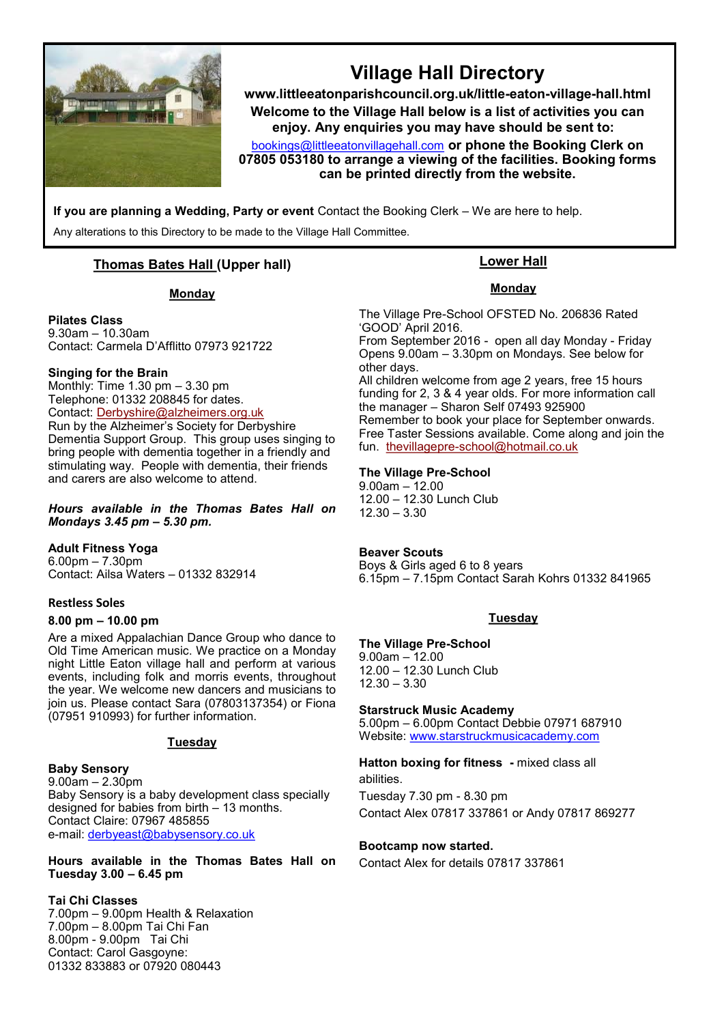

# **Village Hall Directory**

**www.littleeatonparishcouncil.org.uk/little-eaton-village-hall.html Welcome to the Village Hall below is a list** of **activities you can enjoy. Any enquiries you may have should be sent to:**

[bookings@littleeatonvillagehall.com](mailto:bookings@littleeatonvillagehall.com) **or phone the Booking Clerk on 07805 053180 to arrange a viewing of the facilities. Booking forms can be printed directly from the website.** 

**If you are planning a Wedding, Party or event** Contact the Booking Clerk – We are here to help.

Any alterations to this Directory to be made to the Village Hall Committee.

#### **Thomas Bates Hall (Upper hall)**

#### **Monday**

**Pilates Class**

9.30am – 10.30am Contact: Carmela D'Afflitto 07973 921722

#### **Singing for the Brain**

Monthly: Time 1.30 pm – 3.30 pm Telephone: 01332 208845 for dates. Contact: [Derbyshire@alzheimers.org.uk](mailto:Derbyshire@alzheimers.org.uk) Run by the Alzheimer's Society for Derbyshire Dementia Support Group. This group uses singing to bring people with dementia together in a friendly and stimulating way. People with dementia, their friends and carers are also welcome to attend.

*Hours available in the Thomas Bates Hall on Mondays 3.45 pm – 5.30 pm.* 

**Adult Fitness Yoga** 6.00pm – 7.30pm Contact: Ailsa Waters – 01332 832914

#### **Restless Soles**

#### **8.00 pm – 10.00 pm**

Are a mixed Appalachian Dance Group who dance to Old Time American music. We practice on a Monday night Little Eaton village hall and perform at various events, including folk and morris events, throughout the year. We welcome new dancers and musicians to join us. Please contact Sara (07803137354) or Fiona (07951 910993) for further information.

#### **Tuesday**

**Baby Sensory** 9.00am – 2.30pm Baby Sensory is a baby development class specially designed for babies from birth – 13 months. Contact Claire: 07967 485855 e-mail: [derbyeast@babysensory.co.uk](mailto:derbyeast@babysensory.co.uk)

**Hours available in the Thomas Bates Hall on Tuesday 3.00 – 6.45 pm**

#### **Tai Chi Classes**

7.00pm – 9.00pm Health & Relaxation 7.00pm – 8.00pm Tai Chi Fan 8.00pm - 9.00pm Tai Chi Contact: Carol Gasgoyne: 01332 833883 or 07920 080443

#### **Lower Hall**

#### **Monday**

The Village Pre-School OFSTED No. 206836 Rated 'GOOD' April 2016.

From September 2016 - open all day Monday - Friday Opens 9.00am – 3.30pm on Mondays. See below for other days.

All children welcome from age 2 years, free 15 hours funding for 2, 3 & 4 year olds. For more information call the manager – Sharon Self 07493 925900 Remember to book your place for September onwards. Free Taster Sessions available. Come along and join the fun. thevillagepre-[school@hotmail.co.uk](mailto:thevillagepre-school@hotmail.co.uk)

#### **The Village Pre-School**

9.00am – 12.00 12.00 – 12.30 Lunch Club 12.30 – 3.30

#### **Beaver Scouts**

Boys & Girls aged 6 to 8 years 6.15pm – 7.15pm Contact Sarah Kohrs 01332 841965

#### **Tuesday**

#### **The Village Pre-School**

9.00am – 12.00 12.00 – 12.30 Lunch Club 12.30 – 3.30

#### **Starstruck Music Academy**

5.00pm – 6.00pm Contact Debbie 07971 687910 Website: [www.starstruckmusicacademy.com](http://www.starstruckmusicacademy.com)

#### **Hatton boxing for fitness -** mixed class all abilities.

Tuesday 7.30 pm - 8.30 pm Contact Alex 07817 337861 or Andy 07817 869277

#### **Bootcamp now started.**

Contact Alex for details 07817 337861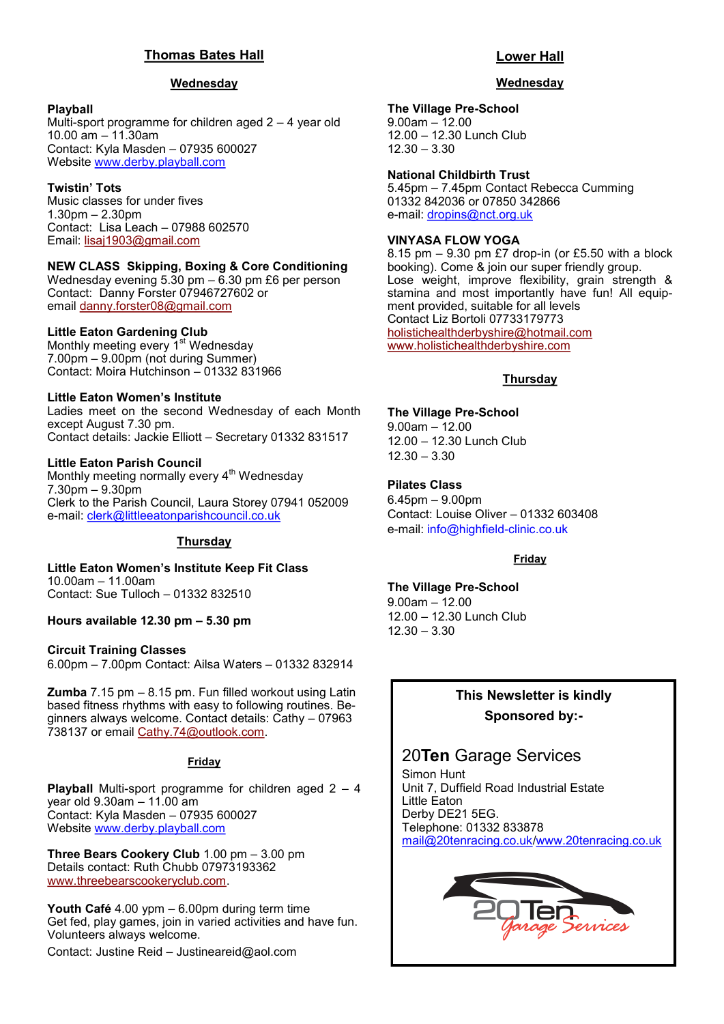#### **Thomas Bates Hall**

#### **Wednesday**

#### **Playball**

Multi-sport programme for children aged 2 – 4 year old 10.00 am – 11.30am Contact: Kyla Masden – 07935 600027 Website [www.derby.playball.com](http://www.derby.playball.com)

#### **Twistin' Tots**

Music classes for under fives 1.30pm – 2.30pm Contact: Lisa Leach – 07988 602570 Email: [lisaj1903@gmail.com](mailto:lisaj1903@gmail.com)

#### **NEW CLASS Skipping, Boxing & Core Conditioning**

Wednesday evening 5.30 pm – 6.30 pm £6 per person Contact: Danny Forster 07946727602 or email [danny.forster08@gmail.com](mailto:danny.forster08@gmail.com)

#### **Little Eaton Gardening Club**

Monthly meeting every 1<sup>st</sup> Wednesday 7.00pm – 9.00pm (not during Summer) Contact: Moira Hutchinson – 01332 831966

#### **Little Eaton Women's Institute**

Ladies meet on the second Wednesday of each Month except August 7.30 pm. Contact details: Jackie Elliott – Secretary 01332 831517

#### **Little Eaton Parish Council**

Monthly meeting normally every 4<sup>th</sup> Wednesday 7.30pm – 9.30pm Clerk to the Parish Council, Laura Storey 07941 052009 e-mail: [clerk@littleeatonparishcouncil.co.uk](mailto:clerk@littleeatonparishcouncil.co.uk)

#### **Thursday**

**Little Eaton Women's Institute Keep Fit Class** 10.00am – 11.00am Contact: Sue Tulloch – 01332 832510

**Hours available 12.30 pm – 5.30 pm**

#### **Circuit Training Classes**

6.00pm – 7.00pm Contact: Ailsa Waters – 01332 832914

**Zumba** 7.15 pm – 8.15 pm. Fun filled workout using Latin based fitness rhythms with easy to following routines. Beginners always welcome. Contact details: Cathy – 07963 738137 or email [Cathy.74@outlook.com.](mailto:Cathy.74@outlook.com)

#### **Friday**

**Playball** Multi-sport programme for children aged 2 – 4 year old 9.30am – 11.00 am Contact: Kyla Masden – 07935 600027 Website [www.derby.playball.com](http://www.derby.playball.com)

**Three Bears Cookery Club** 1.00 pm – 3.00 pm Details contact: Ruth Chubb 07973193362 [www.threebearscookeryclub.com.](http://www.threebearscookeryclub.com)

**Youth Café** 4.00 ypm – 6.00pm during term time Get fed, play games, join in varied activities and have fun. Volunteers always welcome.

Contact: Justine Reid – [Justineareid@aol.com](mailto:Justineareid@aol.com)

#### **Lower Hall**

#### **Wednesday**

#### **The Village Pre-School**

9.00am – 12.00 12.00 – 12.30 Lunch Club 12.30 – 3.30

#### **National Childbirth Trust**

5.45pm – 7.45pm Contact Rebecca Cumming 01332 842036 or 07850 342866 e-mail: [dropins@nct.org.uk](mailto:dropins@nct.org.uk)

#### **VINYASA FLOW YOGA**

8.15 pm – 9.30 pm £7 drop-in (or £5.50 with a block booking). Come & join our super friendly group. Lose weight, improve flexibility, grain strength & stamina and most importantly have fun! All equipment provided, suitable for all levels Contact Liz Bortoli 07733179773 [holistichealthderbyshire@hotmail.com](mailto:holistichealthderbyshire@hotmail.com)  [www.holistichealthderbyshire.com](http://www.holistichealthderbyshire.com)

#### **Thursday**

**The Village Pre-School** 9.00am – 12.00 12.00 – 12.30 Lunch Club 12.30 – 3.30

**Pilates Class** 6.45pm – 9.00pm Contact: Louise Oliver – 01332 603408 e-mail: info@highfield-clinic.co.uk

#### **Friday**

**The Village Pre-School**

9.00am – 12.00 12.00 – 12.30 Lunch Club 12.30 – 3.30

#### **This Newsletter is kindly Sponsored by:-**

## 20**Ten** Garage Services

Simon Hunt Unit 7, Duffield Road Industrial Estate Little Eaton Derby DE21 5EG. Telephone: 01332 833878 [mail@20tenracing.co.uk/](mailto:mail@20tenracing.co.uk)[www.20tenracing.co.uk](http://www.20tenracing.co.uk/)

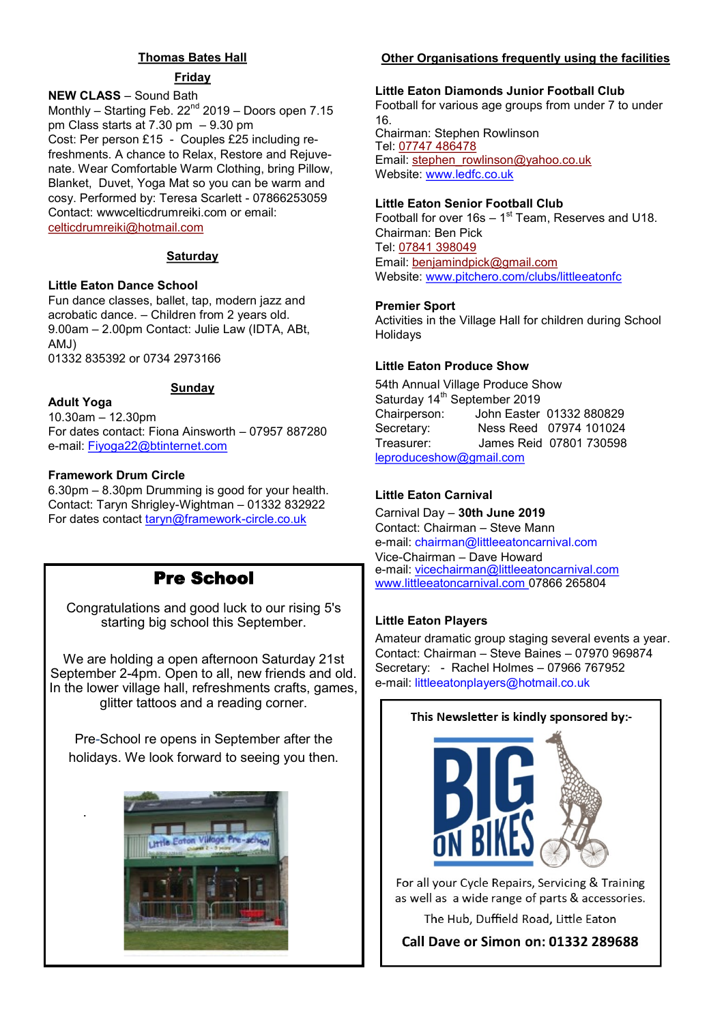#### **Thomas Bates Hall**

#### **Friday**

#### **NEW CLASS** – Sound Bath

Monthly – Starting Feb.  $22<sup>nd</sup>$  2019 – Doors open 7.15 pm Class starts at 7.30 pm – 9.30 pm Cost: Per person £15 - Couples £25 including refreshments. A chance to Relax, Restore and Rejuvenate. Wear Comfortable Warm Clothing, bring Pillow, Blanket, Duvet, Yoga Mat so you can be warm and cosy. Performed by: Teresa Scarlett - 07866253059 Contact: wwwcelticdrumreiki.com or email: [celticdrumreiki@hotmail.com](mailto:celticdrumreiki@hotmail.com)

#### **Saturday**

#### **Little Eaton Dance School**

Fun dance classes, ballet, tap, modern jazz and acrobatic dance. – Children from 2 years old. 9.00am – 2.00pm Contact: Julie Law (IDTA, ABt, AMJ) 01332 835392 or 0734 2973166

#### **Sunday**

10.30am – 12.30pm For dates contact: Fiona Ainsworth – 07957 887280 e-mail: Fiyoga22@btinternet.com

#### **Framework Drum Circle**

**Adult Yoga**

.

6.30pm – 8.30pm Drumming is good for your health. Contact: Taryn Shrigley-Wightman – 01332 832922 For dates contact taryn@framework-circle.co.uk

# Pre School

Congratulations and good luck to our rising 5's starting big school this September.

We are holding a open afternoon Saturday 21st September 2-4pm. Open to all, new friends and old. In the lower village hall, refreshments crafts, games, glitter tattoos and a reading corner.

Pre-School re opens in September after the holidays. We look forward to seeing you then.



#### **Other Organisations frequently using the facilities**

#### **Little Eaton Diamonds Junior Football Club**

Football for various age groups from under 7 to under 16. Chairman: Stephen Rowlinson Tel: [07747 486478](tel:07747486478) Email: [stephen\\_rowlinson@yahoo.co.uk](mailto:stephen_rowlinson@yahoo.co.uk)

Website: www.ledfc.co.uk

#### **Little Eaton Senior Football Club**

Football for over  $16s - 1<sup>st</sup>$  Team, Reserves and U18. Chairman: Ben Pick Tel: [07841 398049](tel:07841398049) Email: [benjamindpick@gmail.com](mailto:benjamindpick@gmail.com) Website: www.pitchero.com/clubs/littleeatonfc

#### **Premier Sport**

Activities in the Village Hall for children during School Holidays

#### **Little Eaton Produce Show**

54th Annual Village Produce Show Saturday 14<sup>th</sup> September 2019 Chairperson: John Easter 01332 880829 Secretary: Ness Reed 07974 101024 Treasurer: James Reid 07801 730598 [leproduceshow@gmail.com](mailto:leproduceshow@gmail.com)

#### **Little Eaton Carnival**

Carnival Day – **30th June 2019** Contact: Chairman – Steve Mann e-mail: chairman@littleeatoncarnival.com Vice-Chairman – Dave Howard e-mail: [vicechairman@littleeatoncarnival.com](mailto:vicechairman@littleeatoncarnival.com) [www.littleeatoncarnival.com 0](http://www.littleeatoncarnival.com)7866 265804

#### **Little Eaton Players**

Amateur dramatic group staging several events a year. Contact: Chairman – Steve Baines – 07970 969874 Secretary: - Rachel Holmes – 07966 767952 e-mail: littleeatonplayers@hotmail.co.uk

# This Newsletter is kindly sponsored by:-

For all your Cycle Repairs, Servicing & Training as well as a wide range of parts & accessories.

The Hub, Duffield Road, Little Eaton

**Call Dave or Simon on: 01332 289688**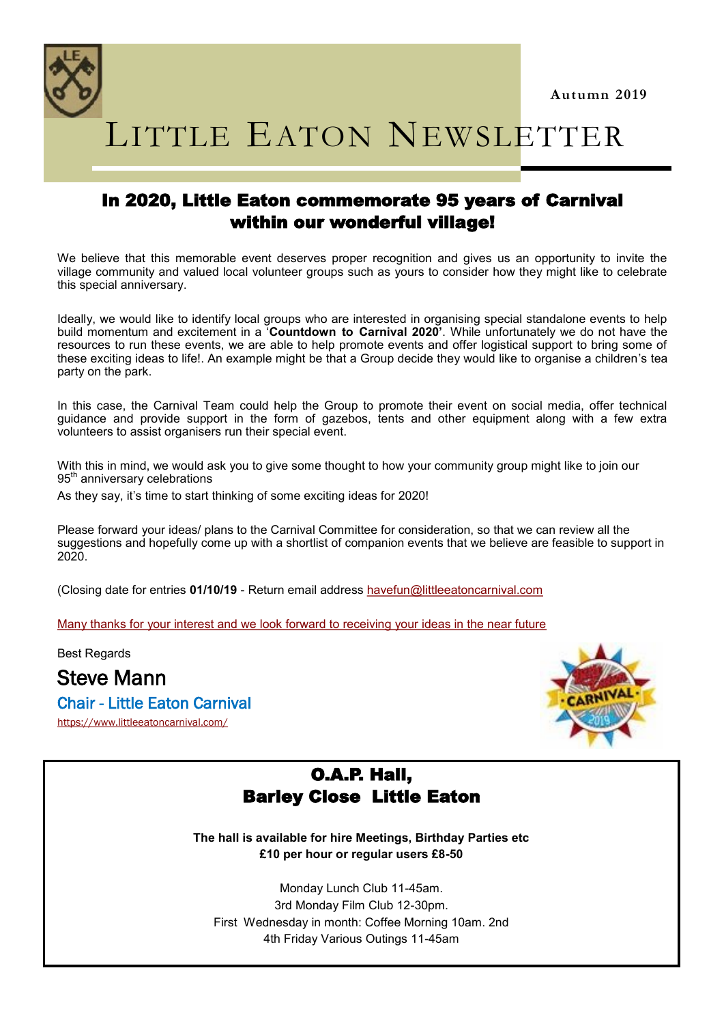

LITTLE EATON NEWSLETTER

## In 2020, Little Eaton commemorate 95 years of Carnival within our wonderful village!

We believe that this memorable event deserves proper recognition and gives us an opportunity to invite the village community and valued local volunteer groups such as yours to consider how they might like to celebrate this special anniversary.

Ideally, we would like to identify local groups who are interested in organising special standalone events to help build momentum and excitement in a '**Countdown to Carnival 2020'**. While unfortunately we do not have the resources to run these events, we are able to help promote events and offer logistical support to bring some of these exciting ideas to life!. An example might be that a Group decide they would like to organise a children's tea party on the park.

In this case, the Carnival Team could help the Group to promote their event on social media, offer technical guidance and provide support in the form of gazebos, tents and other equipment along with a few extra volunteers to assist organisers run their special event.

With this in mind, we would ask you to give some thought to how your community group might like to join our 95<sup>th</sup> anniversary celebrations

As they say, it's time to start thinking of some exciting ideas for 2020!

Please forward your ideas/ plans to the Carnival Committee for consideration, so that we can review all the suggestions and hopefully come up with a shortlist of companion events that we believe are feasible to support in 2020.

(Closing date for entries **01/10/19** - Return email address [havefun@littleeatoncarnival.com](mailto:havefun@littleeatoncarnival.com)

Many thanks for your interest and we look forward to receiving your ideas in the near future

Best Regards

Steve Mann

## Chair - Little Eaton Carnival

<https://www.littleeatoncarnival.com/>



# O.A.P. Hall, Barley Close Little Eaton

**The hall is available for hire Meetings, Birthday Parties etc £10 per hour or regular users £8-50**

Monday Lunch Club 11-45am. 3rd Monday Film Club 12-30pm. First Wednesday in month: Coffee Morning 10am. 2nd 4th Friday Various Outings 11-45am